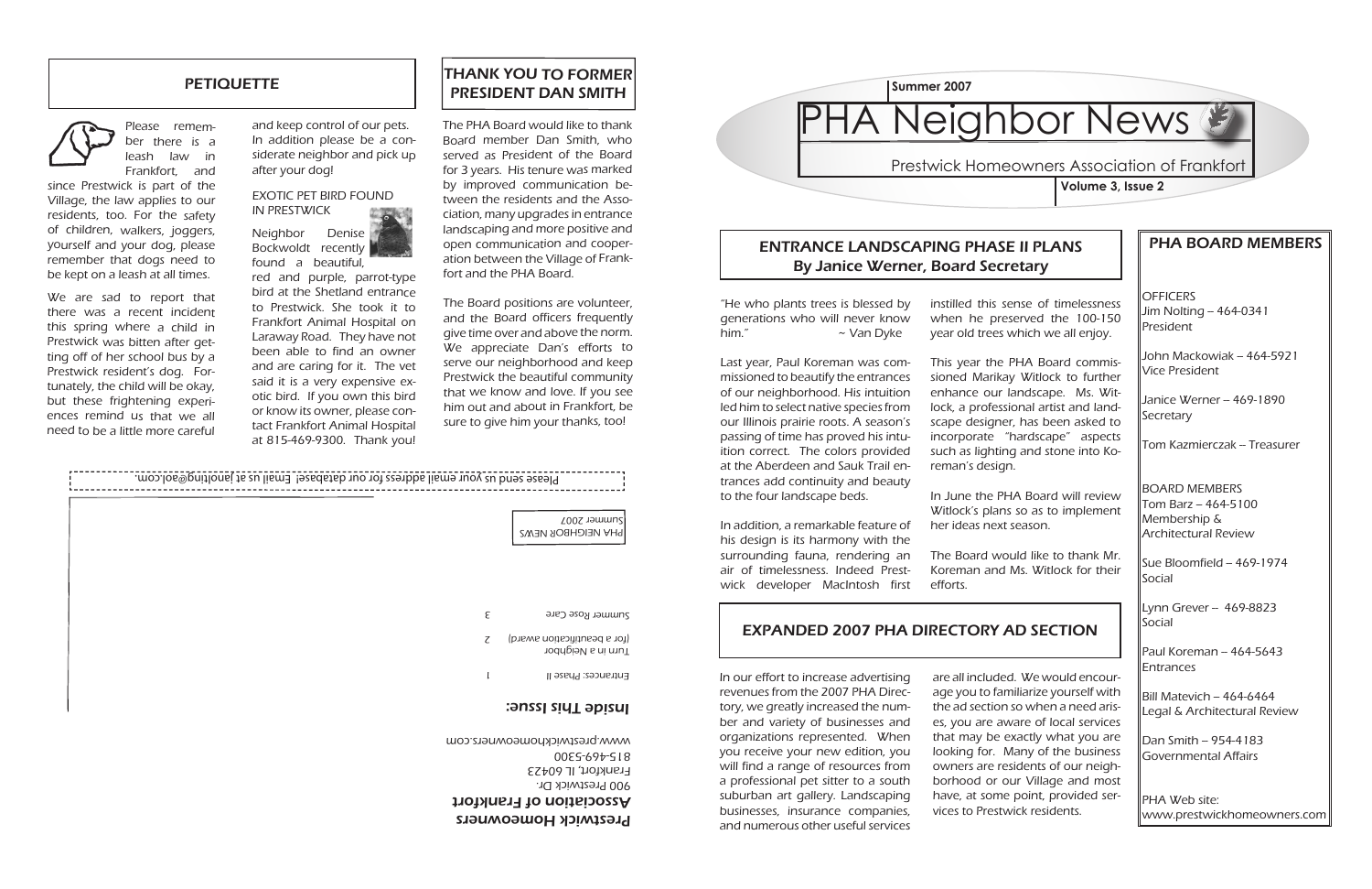**OFFICERS** Jim Nolting -- 464-0341 President

### PHA BOARD MEMBERS

John Mackowiak – 464-5921 Vice President

Janice Werner -- 469-1890 **Secretary** 

Tom Kazmierczak - Treasurer

Sue Bloomfield - 469-1974 Social

Lynn Grever - 469-8823 Social

Paul Koreman - 464-5643 Entrances

Bill Matevich  $-464-6464$ Legal & Architectural Review

Dan Smith -- 954-4183 Governmental Affairs

BOARD MEMBERS Tom Barz -- 464-5100 Membership & Architectural Review

PHA Web site: www.prestwickhomeowners.com

### ENTRANCE LANDSCAPING PHASE II PLANS By Janice Werner, Board Secretary

## EXPANDED 2007 PHA DIRECTORY AD SECTION

### Prestwick Homeowners Association of Frankfort **Volume 3, Issue 2**

are all included. We would encourage you to familiarize yourself with the ad section so when a need arises, you are aware of local services that may be exactly what you are looking for. Many of the business owners are residents of our neighborhood or our Village and most have, at some point, provided services to Prestwick residents.

# PHA Neighbor News

We are sad to report that there was a recent incident this spring where a child in Prestwick was bitten after getting off of her school bus by a Prestwick resident's dog. Fortunately, the child will be okay, but these frightening experiences remind us that we all need to be a little more careful

> In our effort to increase advertising revenues from the 2007 PHA Directory, we greatly increased the number and variety of businesses and organizations represented. When you receive your new edition, you will find a range of resources from a professional pet sitter to a south suburban art gallery. Landscaping businesses, insurance companies, and numerous other useful services



### **PETIQUETTE**



Please remember there is a leash law in Frankfort, and

since Prestwick is part of the Village, the law applies to our residents, too. For the safety of children, walkers, joggers, yourself and your dog, please remember that dogs need to be kept on a leash at all times.

> "He who plants trees is blessed by generations who will never know him." ~ Van Dyke

and keep control of our pets. In addition please be a considerate neighbor and pick up after your dog!

### EXOTIC PET BIRD FOUND IN PRESTWICK



red and purple, parrot-type bird at the Shetland entrance to Prestwick. She took it to Frankfort Animal Hospital on Laraway Road. They have not been able to find an owner and are caring for it. The vet said it is a very expensive exotic bird. If you own this bird or know its owner, please contact Frankfort Animal Hospital at 815-469-9300. Thank you!

### Prestwick Homeowners

### Association of Frankfort

### THANK YOU TO FORMER PRESIDENT DAN SMITH

The PHA Board would like to thank Board member Dan Smith, who served as President of the Board for 3 years. His tenure was marked by improved communication between the residents and the Association, many upgrades in entrance landscaping and more positive and open communication and cooperation between the Village of Frankfort and the PHA Board.



The Board positions are volunteer, and the Board officers frequently give time over and above the norm. We appreciate Dan's efforts to serve our neighborhood and keep Prestwick the beautiful community that we know and love. If you see him out and about in Frankfort, be sure to give him your thanks, too!

Last year, Paul Koreman was commissioned to beautify the entrances of our neighborhood. His intuition led him to select native species from our Illinois prairie roots. A season's passing of time has proved his intuition correct. The colors provided at the Aberdeen and Sauk Trail entrances add continuity and beauty to the four landscape beds.

In addition, a remarkable feature of his design is its harmony with the surrounding fauna, rendering an air of timelessness. Indeed Prestwick developer MacIntosh first

instilled this sense of timelessness when he preserved the 100-150 year old trees which we all enjoy.

This year the PHA Board commissioned Marikay Witlock to further enhance our landscape. Ms. Witlock, a professional artist and landscape designer, has been asked to incorporate "hardscape" aspects such as lighting and stone into Koreman's design.

In June the PHA Board will review Witlock's plans so as to implement her ideas next season.

The Board would like to thank Mr. Koreman and Ms. Witlock for their

efforts.